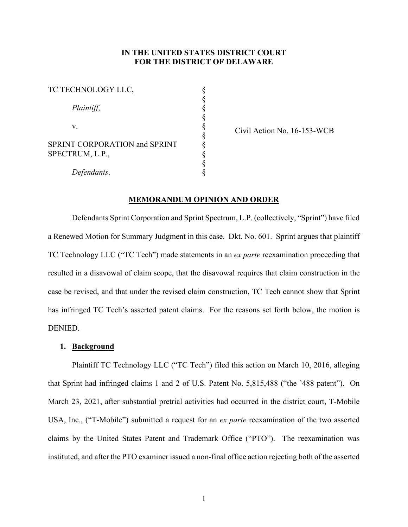## **IN THE UNITED STATES DISTRICT COURT FOR THE DISTRICT OF DELAWARE**

| TC TECHNOLOGY LLC,                               |  |
|--------------------------------------------------|--|
| Plaintiff,                                       |  |
| V.                                               |  |
| SPRINT CORPORATION and SPRINT<br>SPECTRUM, L.P., |  |
| Defendants.                                      |  |

Civil Action No. 16-153-WCB

## **MEMORANDUM OPINION AND ORDER**

Defendants Sprint Corporation and Sprint Spectrum, L.P. (collectively, "Sprint") have filed a Renewed Motion for Summary Judgment in this case. Dkt. No. 601. Sprint argues that plaintiff TC Technology LLC ("TC Tech") made statements in an *ex parte* reexamination proceeding that resulted in a disavowal of claim scope, that the disavowal requires that claim construction in the case be revised, and that under the revised claim construction, TC Tech cannot show that Sprint has infringed TC Tech's asserted patent claims. For the reasons set forth below, the motion is DENIED.

## **1. Background**

Plaintiff TC Technology LLC ("TC Tech") filed this action on March 10, 2016, alleging that Sprint had infringed claims 1 and 2 of U.S. Patent No. 5,815,488 ("the '488 patent"). On March 23, 2021, after substantial pretrial activities had occurred in the district court, T-Mobile USA, Inc., ("T-Mobile") submitted a request for an *ex parte* reexamination of the two asserted claims by the United States Patent and Trademark Office ("PTO"). The reexamination was instituted, and after the PTO examiner issued a non-final office action rejecting both of the asserted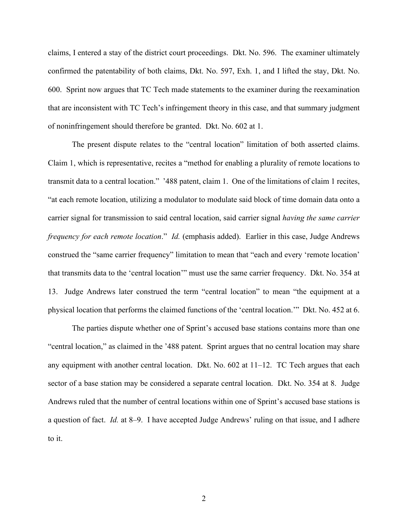claims, I entered a stay of the district court proceedings. Dkt. No. 596. The examiner ultimately confirmed the patentability of both claims, Dkt. No. 597, Exh. 1, and I lifted the stay, Dkt. No. 600. Sprint now argues that TC Tech made statements to the examiner during the reexamination that are inconsistent with TC Tech's infringement theory in this case, and that summary judgment of noninfringement should therefore be granted. Dkt. No. 602 at 1.

The present dispute relates to the "central location" limitation of both asserted claims. Claim 1, which is representative, recites a "method for enabling a plurality of remote locations to transmit data to a central location." '488 patent, claim 1. One of the limitations of claim 1 recites, "at each remote location, utilizing a modulator to modulate said block of time domain data onto a carrier signal for transmission to said central location, said carrier signal *having the same carrier frequency for each remote location*." *Id.* (emphasis added). Earlier in this case, Judge Andrews construed the "same carrier frequency" limitation to mean that "each and every 'remote location' that transmits data to the 'central location'" must use the same carrier frequency. Dkt. No. 354 at 13. Judge Andrews later construed the term "central location" to mean "the equipment at a physical location that performs the claimed functions of the 'central location.'" Dkt. No. 452 at 6.

The parties dispute whether one of Sprint's accused base stations contains more than one "central location," as claimed in the '488 patent. Sprint argues that no central location may share any equipment with another central location. Dkt. No. 602 at 11–12. TC Tech argues that each sector of a base station may be considered a separate central location. Dkt. No. 354 at 8. Judge Andrews ruled that the number of central locations within one of Sprint's accused base stations is a question of fact. *Id.* at 8–9. I have accepted Judge Andrews' ruling on that issue, and I adhere to it.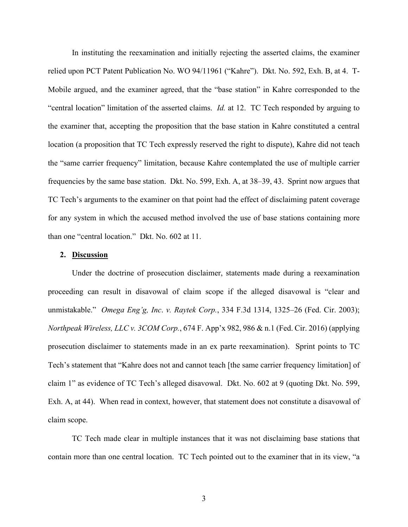In instituting the reexamination and initially rejecting the asserted claims, the examiner relied upon PCT Patent Publication No. WO 94/11961 ("Kahre"). Dkt. No. 592, Exh. B, at 4. T-Mobile argued, and the examiner agreed, that the "base station" in Kahre corresponded to the "central location" limitation of the asserted claims. *Id.* at 12. TC Tech responded by arguing to the examiner that, accepting the proposition that the base station in Kahre constituted a central location (a proposition that TC Tech expressly reserved the right to dispute), Kahre did not teach the "same carrier frequency" limitation, because Kahre contemplated the use of multiple carrier frequencies by the same base station. Dkt. No. 599, Exh. A, at 38–39, 43. Sprint now argues that TC Tech's arguments to the examiner on that point had the effect of disclaiming patent coverage for any system in which the accused method involved the use of base stations containing more than one "central location." Dkt. No. 602 at 11.

## **2. Discussion**

Under the doctrine of prosecution disclaimer, statements made during a reexamination proceeding can result in disavowal of claim scope if the alleged disavowal is "clear and unmistakable." *Omega Eng'g, Inc*. *v. Raytek Corp.*, 334 F.3d 1314, 1325–26 (Fed. Cir. 2003); *Northpeak Wireless, LLC v. 3COM Corp.*, 674 F. App'x 982, 986 & n.1 (Fed. Cir. 2016) (applying prosecution disclaimer to statements made in an ex parte reexamination). Sprint points to TC Tech's statement that "Kahre does not and cannot teach [the same carrier frequency limitation] of claim 1" as evidence of TC Tech's alleged disavowal. Dkt. No. 602 at 9 (quoting Dkt. No. 599, Exh. A, at 44). When read in context, however, that statement does not constitute a disavowal of claim scope.

TC Tech made clear in multiple instances that it was not disclaiming base stations that contain more than one central location. TC Tech pointed out to the examiner that in its view, "a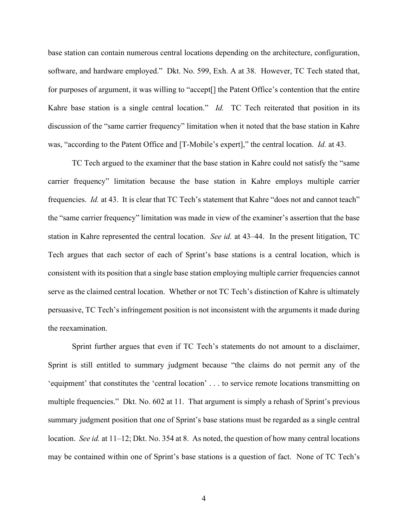base station can contain numerous central locations depending on the architecture, configuration, software, and hardware employed." Dkt. No. 599, Exh. A at 38. However, TC Tech stated that, for purposes of argument, it was willing to "accept[] the Patent Office's contention that the entire Kahre base station is a single central location." *Id.* TC Tech reiterated that position in its discussion of the "same carrier frequency" limitation when it noted that the base station in Kahre was, "according to the Patent Office and [T-Mobile's expert]," the central location. *Id.* at 43.

TC Tech argued to the examiner that the base station in Kahre could not satisfy the "same carrier frequency" limitation because the base station in Kahre employs multiple carrier frequencies. *Id.* at 43. It is clear that TC Tech's statement that Kahre "does not and cannot teach" the "same carrier frequency" limitation was made in view of the examiner's assertion that the base station in Kahre represented the central location. *See id.* at 43–44. In the present litigation, TC Tech argues that each sector of each of Sprint's base stations is a central location, which is consistent with its position that a single base station employing multiple carrier frequencies cannot serve as the claimed central location. Whether or not TC Tech's distinction of Kahre is ultimately persuasive, TC Tech's infringement position is not inconsistent with the arguments it made during the reexamination.

Sprint further argues that even if TC Tech's statements do not amount to a disclaimer, Sprint is still entitled to summary judgment because "the claims do not permit any of the 'equipment' that constitutes the 'central location' . . . to service remote locations transmitting on multiple frequencies." Dkt. No. 602 at 11. That argument is simply a rehash of Sprint's previous summary judgment position that one of Sprint's base stations must be regarded as a single central location. *See id.* at 11–12; Dkt. No. 354 at 8. As noted, the question of how many central locations may be contained within one of Sprint's base stations is a question of fact. None of TC Tech's